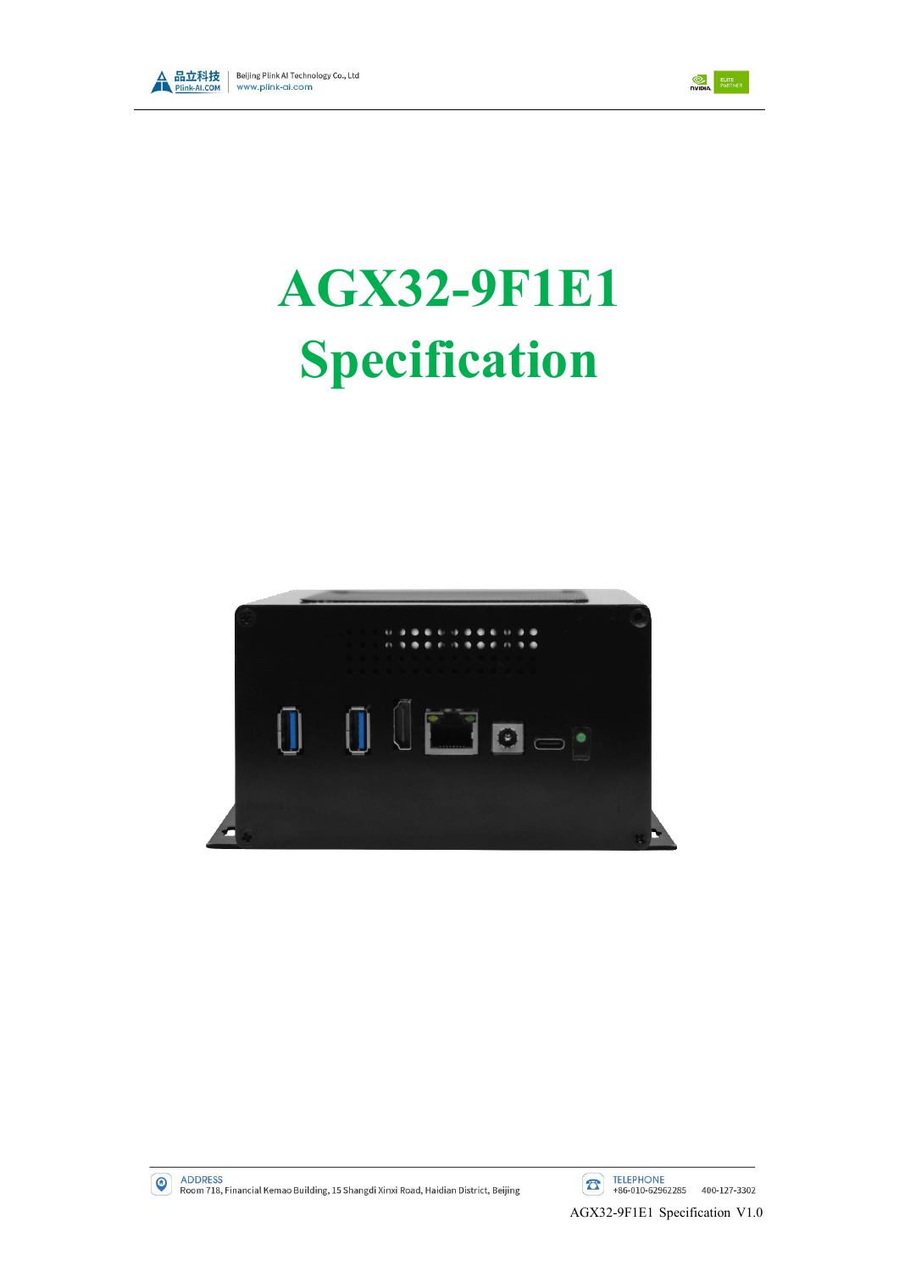



# **AGX32-9F1E1 Specification**





ADDRESS<br>Room 718, Financial Kemao Building, 15 Shangdi Xinxi Road, Haidian District, Beijing

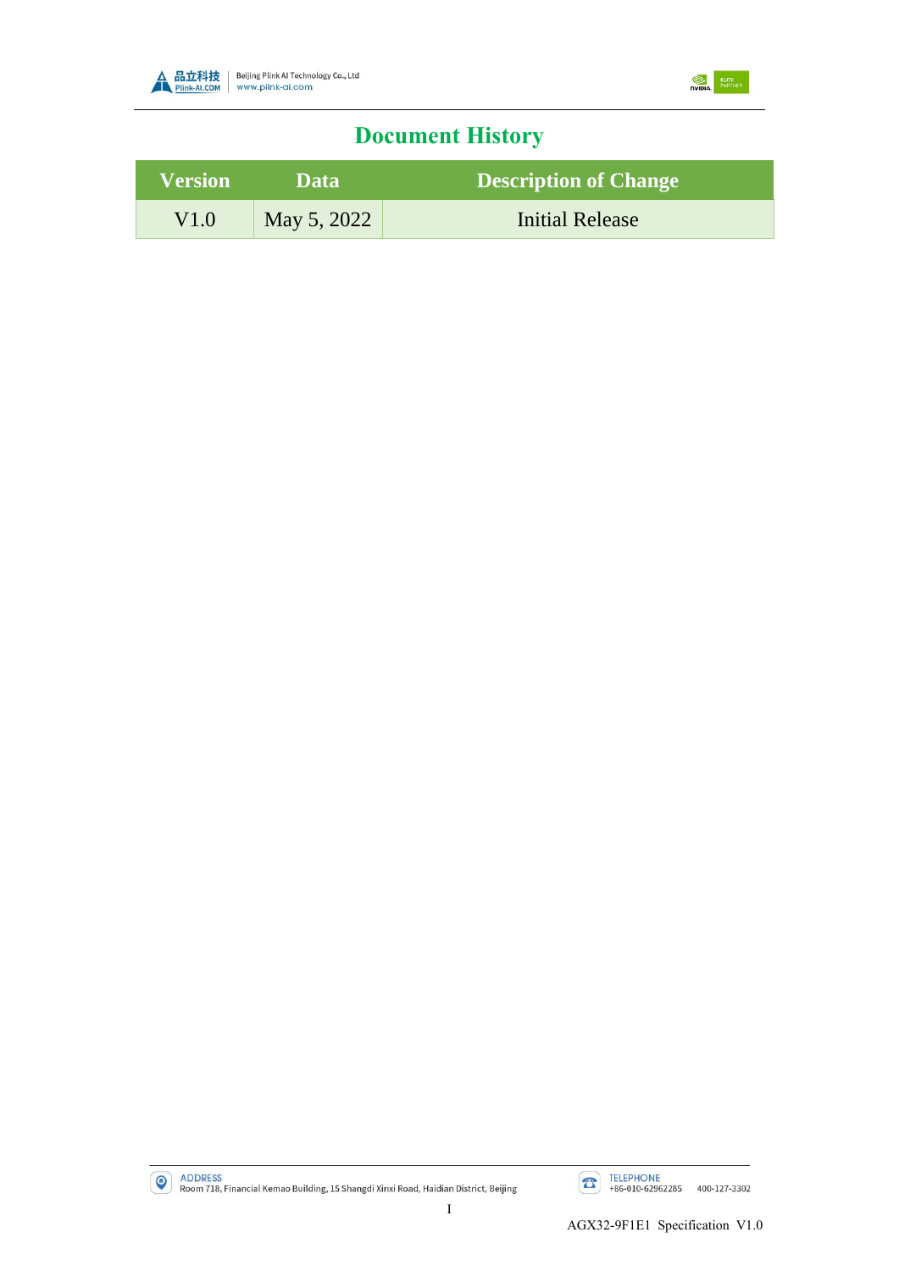



## **Document History**

| <b>Version</b> | <b>Data</b> | <b>Description of Change</b> |
|----------------|-------------|------------------------------|
| V1.0           | May 5, 2022 | Initial Release              |

ADDRESS<br>Room 718, Financial Kemao Building, 15 Shangdi Xinxi Road, Haidian District, Beijing

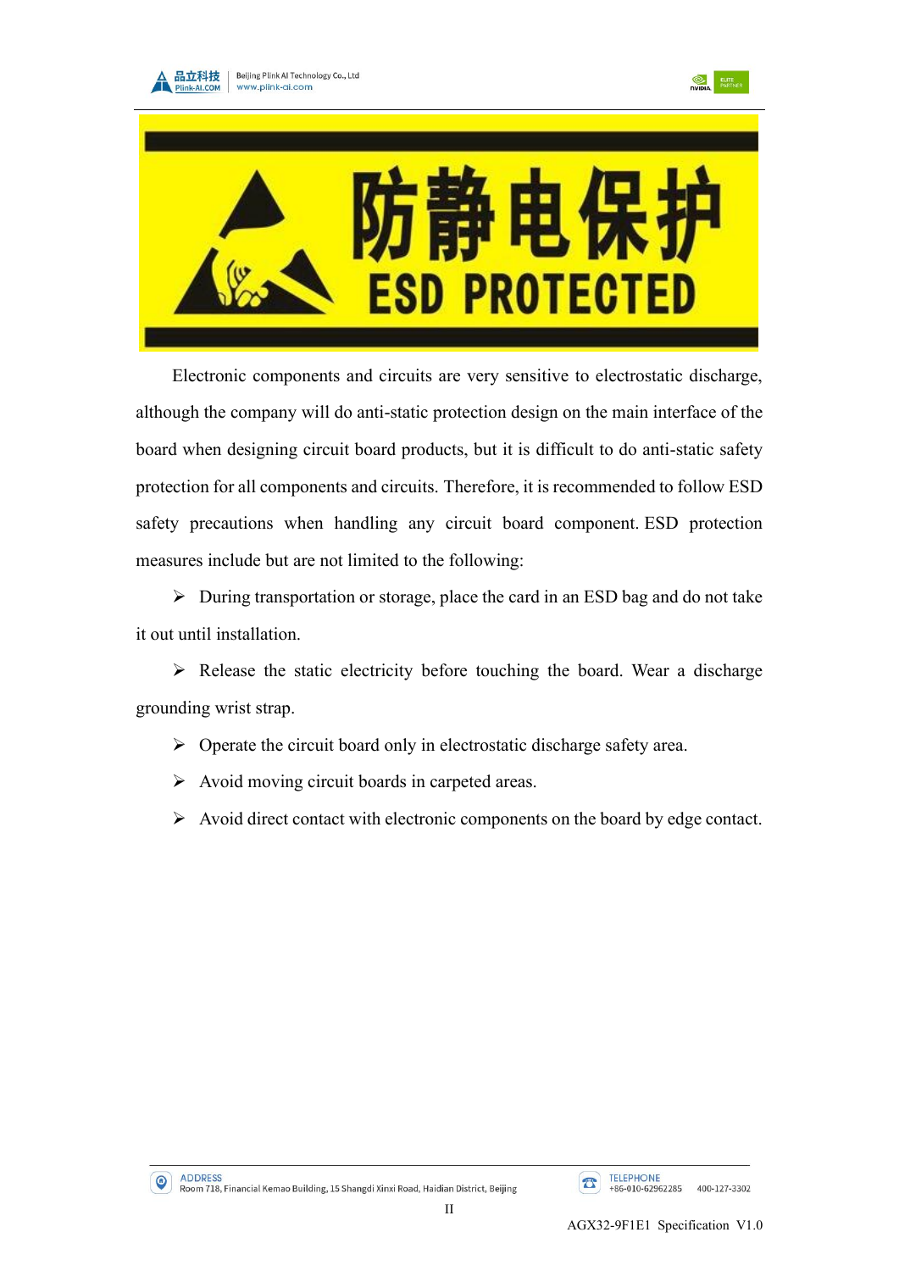





Electronic components and circuits are very sensitive to electrostatic discharge, although the company will do anti-static protection design on the main interface of the board when designing circuit board products, but it is difficult to do anti-static safety protection for all components and circuits. Therefore, it is recommended to follow ESD safety precautions when handling any circuit board component. ESD protection measures include but are not limited to the following:

➢ During transportation or storage, place the card in an ESD bag and do not take it out until installation.

 $\triangleright$  Release the static electricity before touching the board. Wear a discharge grounding wrist strap.

- $\triangleright$  Operate the circuit board only in electrostatic discharge safety area.
- ➢ Avoid moving circuit boards in carpeted areas.
- ➢ Avoid direct contact with electronic components on the board by edge contact.

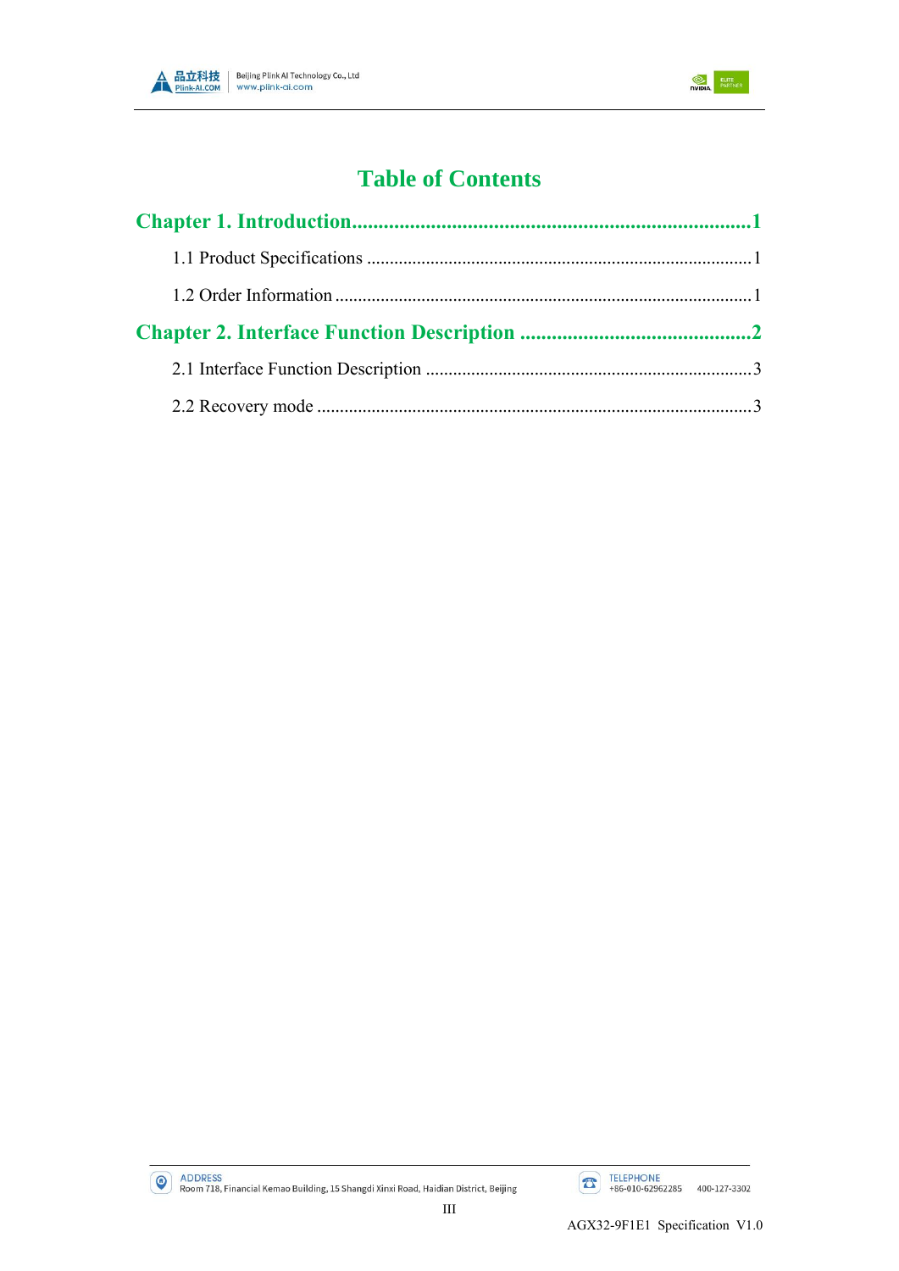



## **Table of Contents**



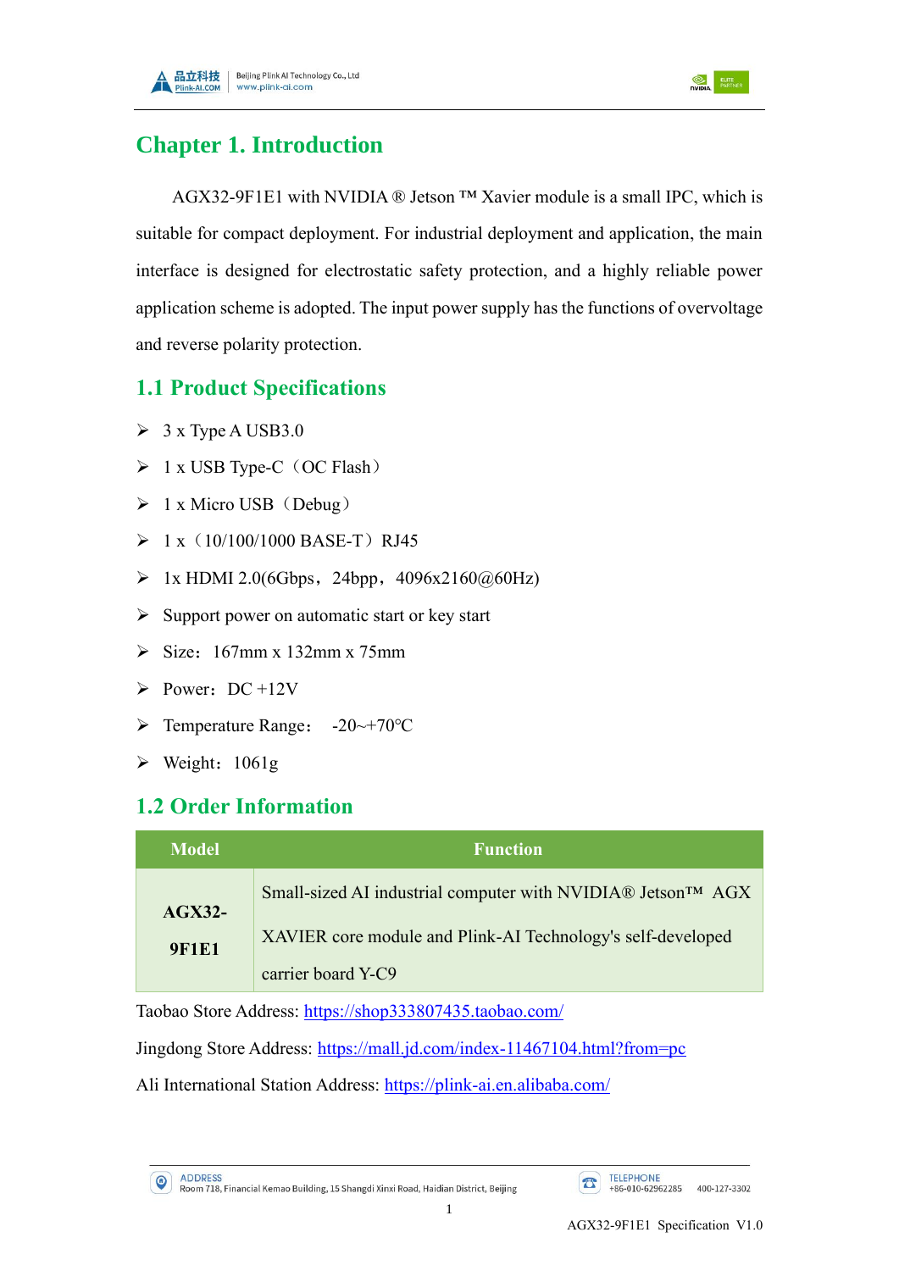



### <span id="page-4-0"></span>**Chapter 1. Introduction**

AGX32-9F1E1 with NVIDIA ® Jetson ™ Xavier module is a small IPC, which is suitable for compact deployment. For industrial deployment and application, the main interface is designed for electrostatic safety protection, and a highly reliable power application scheme is adopted. The input power supply has the functions of overvoltage and reverse polarity protection.

#### <span id="page-4-1"></span>**1.1 Product Specifications**

- $\geq 3$  x Type A USB3.0
- $\triangleright$  1 x USB Type-C (OC Flash)
- $\triangleright$  1 x Micro USB (Debug)
- $> 1 x(10/100/1000 BASE-T) RJ45$
- $\triangleright$  1x HDMI 2.0(6Gbps, 24bpp, 4096x2160@60Hz)
- $\triangleright$  Support power on automatic start or key start
- $\triangleright$  Size: 167mm x 132mm x 75mm
- $\triangleright$  Power: DC +12V
- ➢ Temperature Range: -20~+70℃
- $\triangleright$  Weight: 1061g

#### <span id="page-4-2"></span>**1.2 Order Information**

| Model        | <b>Function</b>                                             |
|--------------|-------------------------------------------------------------|
| $AGX32-$     | Small-sized AI industrial computer with NVIDIA® Jetson™ AGX |
| <b>9F1E1</b> | XAVIER core module and Plink-AI Technology's self-developed |
|              | carrier board Y-C9                                          |

Taobao Store Address: <https://shop333807435.taobao.com/>

Jingdong Store Address: <https://mall.jd.com/index-11467104.html?from=pc>

Ali International Station Address: <https://plink-ai.en.alibaba.com/>

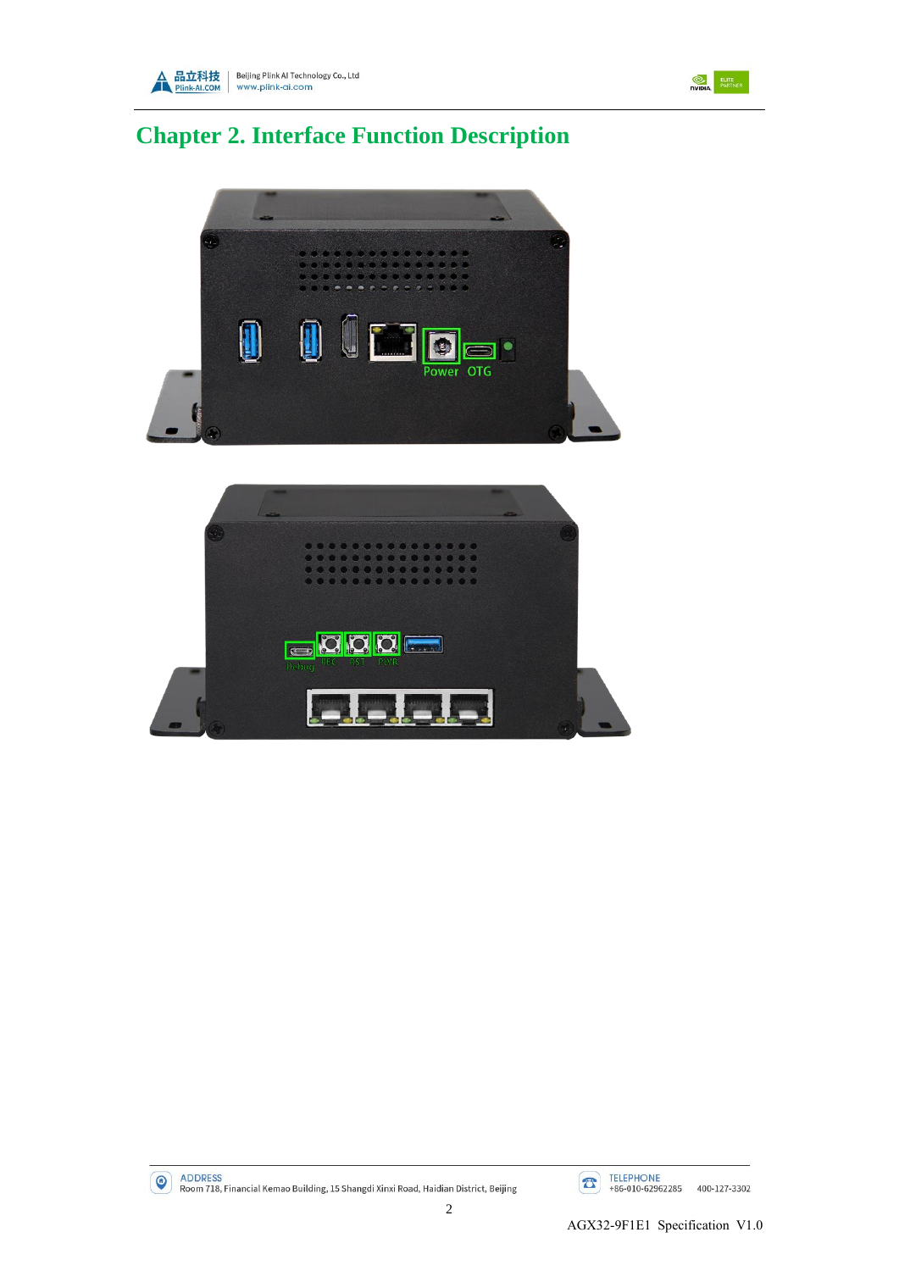



# <span id="page-5-0"></span>**Chapter 2. Interface Function Description**